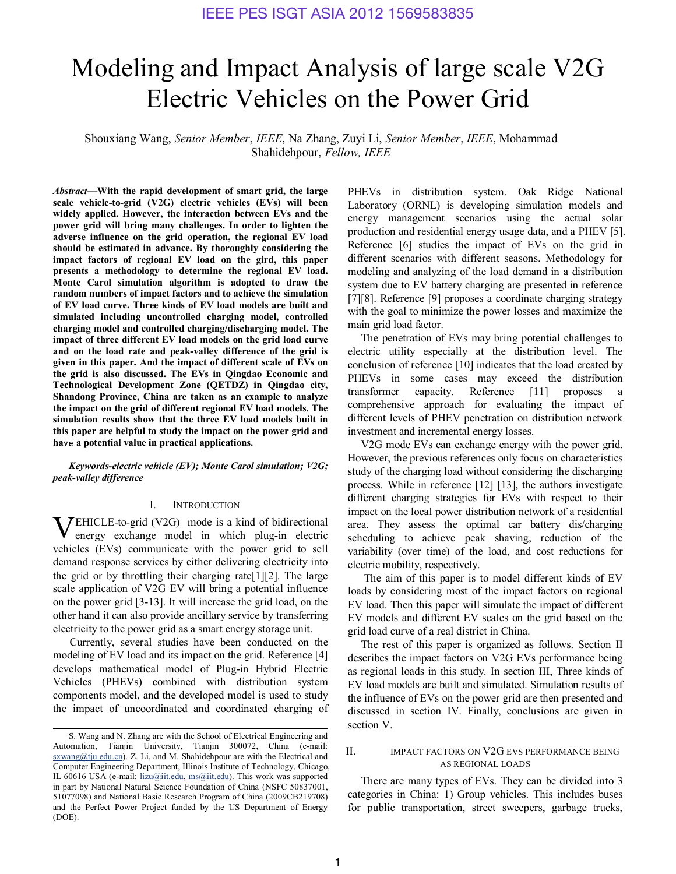# Modeling and Impact Analysis of large scale V2G Electric Vehicles on the Power Grid

Shouxiang Wang, *Senior Member*, *IEEE*, Na Zhang, Zuyi Li, *Senior Member*, *IEEE*, Mohammad Shahidehpour, *Fellow, IEEE*

*Abstract***—With the rapid development of smart grid, the large scale vehicle-to-grid (V2G) electric vehicles (EVs) will been widely applied. However, the interaction between EVs and the power grid will bring many challenges. In order to lighten the adverse influence on the grid operation, the regional EV load should be estimated in advance. By thoroughly considering the impact factors of regional EV load on the gird, this paper presents a methodology to determine the regional EV load. Monte Carol simulation algorithm is adopted to draw the random numbers of impact factors and to achieve the simulation of EV load curve. Three kinds of EV load models are built and simulated including uncontrolled charging model, controlled charging model and controlled charging/discharging model. The impact of three different EV load models on the grid load curve and on the load rate and peak-valley difference of the grid is given in this paper. And the impact of different scale of EVs on the grid is also discussed. The EVs in Qingdao Economic and Technological Development Zone (QETDZ) in Qingdao city, Shandong Province, China are taken as an example to analyze the impact on the grid of different regional EV load models. The simulation results show that the three EV load models built in this paper are helpful to study the impact on the power grid and ha**ve **a potential value in practical applications.**

*Keywords-electric vehicle (EV); Monte Carol simulation; V2G; peak-valley difference*

### I. INTRODUCTION

**VEHICLE-to-grid (V2G)** mode is a kind of bidirectional energy exchange model in which plug-in electric energy exchange model in which plug-in electric vehicles (EVs) communicate with the power grid to sell demand response services by either delivering electricity into the grid or by throttling their charging rate[1][2]. The large scale application of V2G EV will bring a potential influence on the power grid [3-13]. It will increase the grid load, on the other hand it can also provide ancillary service by transferring electricity to the power grid as a smart energy storage unit.

Currently, several studies have been conducted on the modeling of EV load and its impact on the grid. Reference [4] develops mathematical model of Plug-in Hybrid Electric Vehicles (PHEVs) combined with distribution system components model, and the developed model is used to study the impact of uncoordinated and coordinated charging of PHEVs in distribution system. Oak Ridge National Laboratory (ORNL) is developing simulation models and energy management scenarios using the actual solar production and residential energy usage data, and a PHEV [5]. Reference [6] studies the impact of EVs on the grid in different scenarios with different seasons. Methodology for modeling and analyzing of the load demand in a distribution system due to EV battery charging are presented in reference [7][8]. Reference [9] proposes a coordinate charging strategy with the goal to minimize the power losses and maximize the main grid load factor.

The penetration of EVs may bring potential challenges to electric utility especially at the distribution level. The conclusion of reference [10] indicates that the load created by PHEVs in some cases may exceed the distribution transformer capacity. Reference [11] proposes a comprehensive approach for evaluating the impact of different levels of PHEV penetration on distribution network investment and incremental energy losses.

V2G mode EVs can exchange energy with the power grid. However, the previous references only focus on characteristics study of the charging load without considering the discharging process. While in reference [12] [13], the authors investigate different charging strategies for EVs with respect to their impact on the local power distribution network of a residential area. They assess the optimal car battery dis/charging scheduling to achieve peak shaving, reduction of the variability (over time) of the load, and cost reductions for electric mobility, respectively.

The aim of this paper is to model different kinds of EV loads by considering most of the impact factors on regional EV load. Then this paper will simulate the impact of different EV models and different EV scales on the grid based on the grid load curve of a real district in China.

The rest of this paper is organized as follows. Section II describes the impact factors on V2G EVs performance being as regional loads in this study. In section III, Three kinds of EV load models are built and simulated. Simulation results of the influence of EVs on the power grid are then presented and discussed in section IV. Finally, conclusions are given in section V.

### II. IMPACT FACTORS ON V2G EVS PERFORMANCE BEING AS REGIONAL LOADS

There are many types of EVs. They can be divided into 3 categories in China: 1) Group vehicles. This includes buses for public transportation, street sweepers, garbage trucks,

S. Wang and N. Zhang are with the School of Electrical Engineering and Automation, Tianjin University, Tianjin 300072, China (e-mail:  $s x wang@tju.edu.cn)$ . Z. Li, and M. Shahidehpour are with the Electrical and Computer Engineering Department, Illinois Institute of Technology, Chicago, IL 60616 USA (e-mail: lizu@iit.edu, ms@iit.edu). This work was supported in part by National Natural Science Foundation of China (NSFC 50837001, 51077098) and National Basic Research Program of China (2009CB219708) and the Perfect Power Project funded by the US Department of Energy (DOE).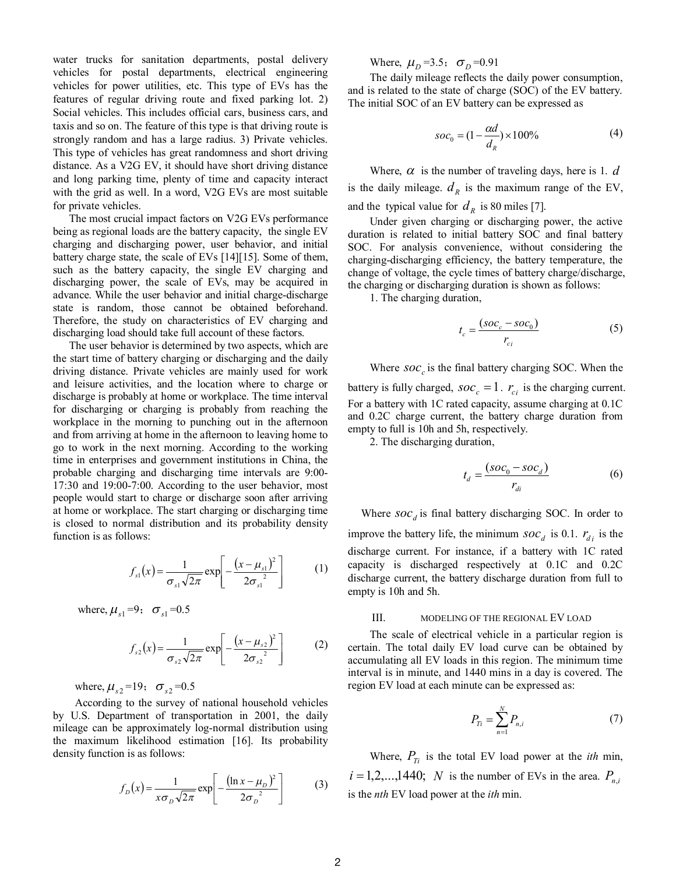water trucks for sanitation departments, postal delivery vehicles for postal departments, electrical engineering vehicles for power utilities, etc. This type of EVs has the features of regular driving route and fixed parking lot. 2) Social vehicles. This includes official cars, business cars, and taxis and so on. The feature of this type is that driving route is strongly random and has a large radius. 3) Private vehicles. This type of vehicles has great randomness and short driving distance. As a V2G EV, it should have short driving distance and long parking time, plenty of time and capacity interact with the grid as well. In a word, V2G EVs are most suitable for private vehicles.

The most crucial impact factors on V2G EVs performance being as regional loads are the battery capacity, the single EV charging and discharging power, user behavior, and initial battery charge state, the scale of EVs [14][15]. Some of them, such as the battery capacity, the single EV charging and discharging power, the scale of EVs, may be acquired in advance. While the user behavior and initial charge-discharge state is random, those cannot be obtained beforehand. Therefore, the study on characteristics of EV charging and discharging load should take full account of these factors.

The user behavior is determined by two aspects, which are the start time of battery charging or discharging and the daily driving distance. Private vehicles are mainly used for work and leisure activities, and the location where to charge or discharge is probably at home or workplace. The time interval for discharging or charging is probably from reaching the workplace in the morning to punching out in the afternoon and from arriving at home in the afternoon to leaving home to go to work in the next morning. According to the working time in enterprises and government institutions in China, the probable charging and discharging time intervals are 9:00- 17:30 and 19:00-7:00. According to the user behavior, most people would start to charge or discharge soon after arriving at home or workplace. The start charging or discharging time is closed to normal distribution and its probability density function is as follows:

$$
f_{s1}(x) = \frac{1}{\sigma_{s1}\sqrt{2\pi}} \exp\left[-\frac{(x - \mu_{s1})^2}{2\sigma_{s1}^2}\right]
$$
 (1)

where,  $\mu_{s1} = 9$ ;  $\sigma_{s1} = 0.5$ 

$$
f_{s2}(x) = \frac{1}{\sigma_{s2}\sqrt{2\pi}} \exp\left[-\frac{(x-\mu_{s2})^2}{2\sigma_{s2}^2}\right]
$$
 (2)

where,  $\mu_{s2}$ =19;  $\sigma_{s2}$ =0.5

According to the survey of national household vehicles by U.S. Department of transportation in 2001, the daily mileage can be approximately log-normal distribution using the maximum likelihood estimation [16]. Its probability density function is as follows:

$$
f_D(x) = \frac{1}{x\sigma_D\sqrt{2\pi}} \exp\left[-\frac{(\ln x - \mu_D)^2}{2\sigma_D^2}\right] \tag{3}
$$

Where,  $\mu_D = 3.5$ ;  $\sigma_D = 0.91$ 

The daily mileage reflects the daily power consumption, and is related to the state of charge (SOC) of the EV battery. The initial SOC of an EV battery can be expressed as

$$
soc_0 = (1 - \frac{\alpha d}{d_R}) \times 100\% \tag{4}
$$

Where,  $\alpha$  is the number of traveling days, here is 1.  $d$ is the daily mileage.  $d<sub>R</sub>$  is the maximum range of the EV, and the typical value for  $d<sub>R</sub>$  is 80 miles [7].

Under given charging or discharging power, the active duration is related to initial battery SOC and final battery SOC. For analysis convenience, without considering the charging-discharging efficiency, the battery temperature, the change of voltage, the cycle times of battery charge/discharge, the charging or discharging duration is shown as follows:

1. The charging duration,

$$
t_c = \frac{(soc_c - soc_0)}{r_{ci}}\tag{5}
$$

Where  $soc_{c}$  is the final battery charging SOC. When the battery is fully charged,  $soc_c = 1$ .  $r_{ci}$  is the charging current. For a battery with 1C rated capacity, assume charging at 0.1C and 0.2C charge current, the battery charge duration from empty to full is 10h and 5h, respectively.

2. The discharging duration,

$$
t_d = \frac{(soc_0 - soc_d)}{r_{di}}\tag{6}
$$

Where  $soc_d$  is final battery discharging SOC. In order to

improve the battery life, the minimum *soc<sub>d</sub>* is 0.1.  $r_{di}$  is the discharge current. For instance, if a battery with 1C rated capacity is discharged respectively at 0.1C and 0.2C discharge current, the battery discharge duration from full to empty is 10h and 5h.

#### III. MODELING OF THE REGIONAL EV LOAD

The scale of electrical vehicle in a particular region is certain. The total daily EV load curve can be obtained by accumulating all EV loads in this region. The minimum time interval is in minute, and 1440 mins in a day is covered. The region EV load at each minute can be expressed as:

$$
P_{Ti} = \sum_{n=1}^{N} P_{n,i} \tag{7}
$$

Where,  $P_{Ti}$  is the total EV load power at the *ith* min,  $i = 1,2,...,1440$ ; *N* is the number of EVs in the area.  $P_{ni}$ is the *nth* EV load power at the *ith* min.